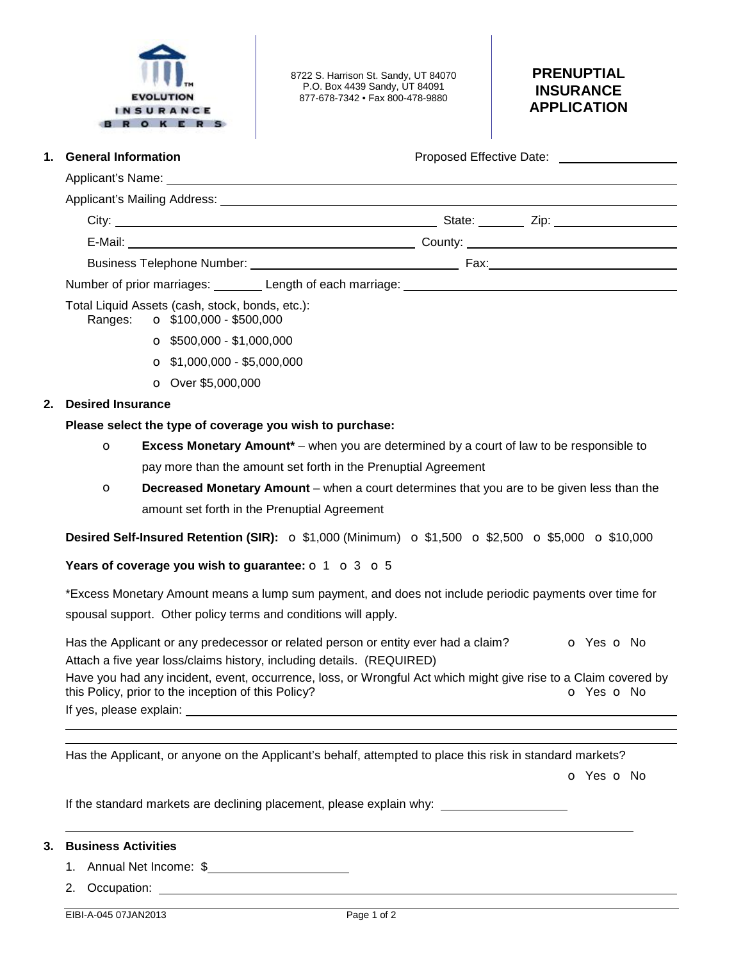

8722 S. Harrison St. Sandy, UT 84070 P.O. Box 4439 Sandy, UT 84091 877-678-7342 • Fax 800-478-9880

# **PRENUPTIAL INSURANCE APPLICATION**

| 1. | <b>General Information</b> |  |
|----|----------------------------|--|
|    |                            |  |

**1. Proposed Effective Date:** 

|                                                                                                                                                                                                                                | State: ______ Zip: _______________________ |
|--------------------------------------------------------------------------------------------------------------------------------------------------------------------------------------------------------------------------------|--------------------------------------------|
|                                                                                                                                                                                                                                |                                            |
| Business Telephone Number: National Assembly Property of the Assembly Property of the Assembly Property of the Assembly Property of the Assembly Property of the Assembly Property of the Assembly Property of the Assembly Pr |                                            |
|                                                                                                                                                                                                                                |                                            |

Number of prior marriages: Length of each marriage: Length of each marriage: Letter Marriage and Muslim and Mu

Total Liquid Assets (cash, stock, bonds, etc.):

Ranges: o \$100,000 - \$500,000

- $\bullet$  \$500,000 \$1,000,000
- $\bullet$  \$1,000,000 \$5,000,000
- o Over \$5,000,000

## **2. Desired Insurance**

### **Please select the type of coverage you wish to purchase:**

- o **Excess Monetary Amount\*** when you are determined by a court of law to be responsible to pay more than the amount set forth in the Prenuptial Agreement
- o **Decreased Monetary Amount** when a court determines that you are to be given less than the amount set forth in the Prenuptial Agreement

**Desired Self-Insured Retention (SIR):** o \$1,000 (Minimum) o \$1,500 o \$2,500 o \$5,000 o \$10,000

### **Years of coverage you wish to guarantee:** o 1 o 3 o 5

\*Excess Monetary Amount means a lump sum payment, and does not include periodic payments over time for spousal support. Other policy terms and conditions will apply.

Has the Applicant or any predecessor or related person or entity ever had a claim?  $\bullet$  Yes  $\bullet$  No Attach a five year loss/claims history, including details. (REQUIRED) Have you had any incident, event, occurrence, loss, or Wrongful Act which might give rise to a Claim covered by this Policy, prior to the inception of this Policy? **o** Yes **o** No If yes, please explain:

Has the Applicant, or anyone on the Applicant's behalf, attempted to place this risk in standard markets?

o Yes o No

If the standard markets are declining placement, please explain why:

# **3. Business Activities**

 

- 1. Annual Net Income: \$
- 2. Occupation:

EIBI-A-045 07JAN2013 Page 1 of 2